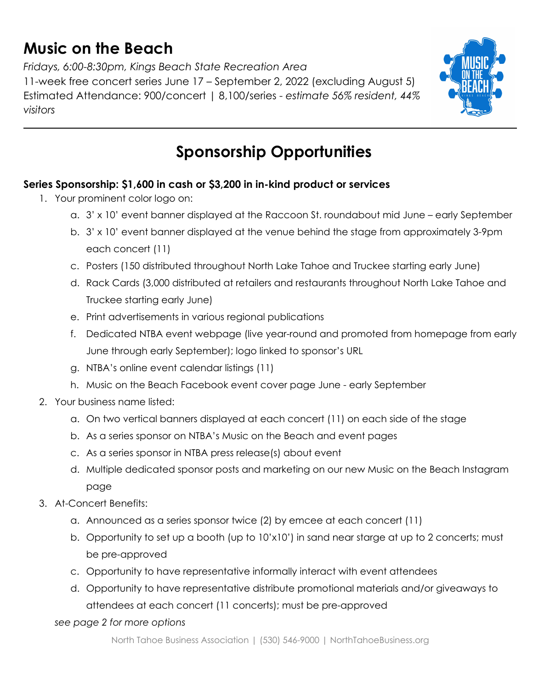## **Music on the Beach**

*Fridays, 6:00-8:30pm, Kings Beach State Recreation Area* 11-week free concert series June 17 – September 2, 2022 (excluding August 5) Estimated Attendance: 900/concert | 8,100/series - *estimate 56% resident, 44% visitors*



# **Sponsorship Opportunities**

### **Series Sponsorship: \$1,600 in cash or \$3,200 in in-kind product or services**

- 1. Your prominent color logo on:
	- a. 3' x 10' event banner displayed at the Raccoon St. roundabout mid June early September
	- b. 3' x 10' event banner displayed at the venue behind the stage from approximately 3-9pm each concert (11)
	- c. Posters (150 distributed throughout North Lake Tahoe and Truckee starting early June)
	- d. Rack Cards (3,000 distributed at retailers and restaurants throughout North Lake Tahoe and Truckee starting early June)
	- e. Print advertisements in various regional publications
	- f. Dedicated NTBA event webpage (live year-round and promoted from homepage from early June through early September); logo linked to sponsor's URL
	- g. NTBA's online event calendar listings (11)
	- h. Music on the Beach Facebook event cover page June early September
- 2. Your business name listed:
	- a. On two vertical banners displayed at each concert (11) on each side of the stage
	- b. As a series sponsor on NTBA's Music on the Beach and event pages
	- c. As a series sponsor in NTBA press release(s) about event
	- d. Multiple dedicated sponsor posts and marketing on our new Music on the Beach Instagram page
- 3. At-Concert Benefits:
	- a. Announced as a series sponsor twice (2) by emcee at each concert (11)
	- b. Opportunity to set up a booth (up to 10'x10') in sand near starge at up to 2 concerts; must be pre-approved
	- c. Opportunity to have representative informally interact with event attendees
	- d. Opportunity to have representative distribute promotional materials and/or giveaways to attendees at each concert (11 concerts); must be pre-approved
	- *see page 2 for more options*